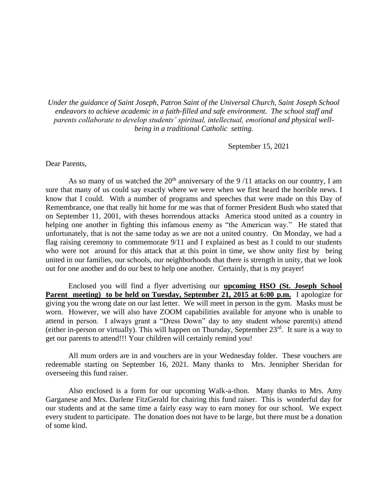## *Under the guidance of Saint Joseph, Patron Saint of the Universal Church, Saint Joseph School endeavors to achieve academic in a faith-filled and safe environment. The school staff and parents collaborate to develop students' spiritual, intellectual, emotional and physical wellbeing in a traditional Catholic setting.*

September 15, 2021

Dear Parents,

As so many of us watched the  $20<sup>th</sup>$  anniversary of the 9/11 attacks on our country, I am sure that many of us could say exactly where we were when we first heard the horrible news. I know that I could. With a number of programs and speeches that were made on this Day of Remembrance, one that really hit home for me was that of former President Bush who stated that on September 11, 2001, with theses horrendous attacks America stood united as a country in helping one another in fighting this infamous enemy as "the American way." He stated that unfortunately, that is not the same today as we are not a united country. On Monday, we had a flag raising ceremony to commemorate 9/11 and I explained as best as I could to our students who were not around for this attack that at this point in time, we show unity first by being united in our families, our schools, our neighborhoods that there is strength in unity, that we look out for one another and do our best to help one another. Certainly, that is my prayer!

Enclosed you will find a flyer advertising our **upcoming HSO (St. Joseph School Parent meeting) to be held on Tuesday, September 21, 2015 at 6:00 p.m.** I apologize for giving you the wrong date on our last letter. We will meet in person in the gym. Masks must be worn. However, we will also have ZOOM capabilities available for anyone who is unable to attend in person. I always grant a "Dress Down" day to any student whose parent(s) attend (either in-person or virtually). This will happen on Thursday, September  $23<sup>rd</sup>$ . It sure is a way to get our parents to attend!!! Your children will certainly remind you!

All mum orders are in and vouchers are in your Wednesday folder. These vouchers are redeemable starting on September 16, 2021. Many thanks to Mrs. Jennipher Sheridan for overseeing this fund raiser.

Also enclosed is a form for our upcoming Walk-a-thon. Many thanks to Mrs. Amy Garganese and Mrs. Darlene FitzGerald for chairing this fund raiser. This is wonderful day for our students and at the same time a fairly easy way to earn money for our school. We expect every student to participate. The donation does not have to be large, but there must be a donation of some kind.